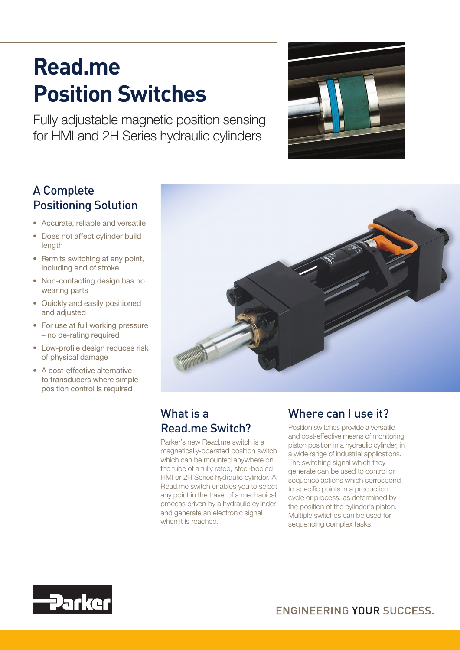# **Read.me Position Switches**

Fully adjustable magnetic position sensing for HMI and 2H Series hydraulic cylinders



## A Complete Positioning Solution

- Accurate, reliable and versatile
- Does not affect cylinder build length
- $\bullet$  Permits switching at any point, including end of stroke
- Non-contacting design has no wearing parts
- Quickly and easily positioned and adjusted
- For use at full working pressure – no de-rating required
- • Low-profile design reduces risk of physical damage
- A cost-effective alternative to transducers where simple position control is required



# What is a Read.me Switch?

Parker's new Read.me switch is a magnetically-operated position switch which can be mounted anywhere on the tube of a fully rated, steel-bodied HMI or 2H Series hydraulic cylinder. A Read.me switch enables you to select any point in the travel of a mechanical process driven by a hydraulic cylinder and generate an electronic signal when it is reached.

## Where can Luse it?

Position switches provide a versatile and cost-effective means of monitoring piston position in a hydraulic cylinder, in a wide range of industrial applications. The switching signal which they generate can be used to control or sequence actions which correspond to specific points in a production cycle or process, as determined by the position of the cylinder's piston. Multiple switches can be used for sequencing complex tasks.